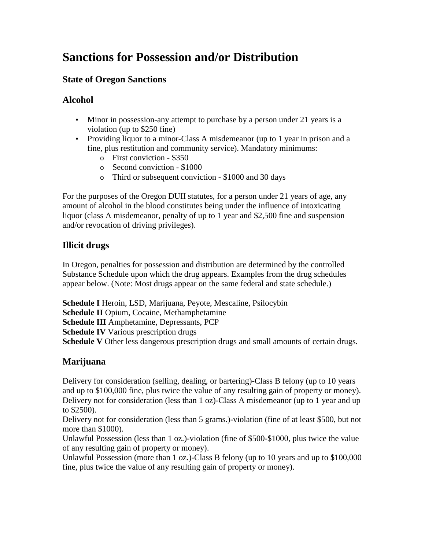# **Sanctions for Possession and/or Distribution**

### **State of Oregon Sanctions**

### **Alcohol**

- Minor in possession-any attempt to purchase by a person under 21 years is a violation (up to \$250 fine)
- Providing liquor to a minor-Class A misdemeanor (up to 1 year in prison and a fine, plus restitution and community service). Mandatory minimums:
	- o First conviction \$350
	- o Second conviction \$1000
	- o Third or subsequent conviction \$1000 and 30 days

For the purposes of the Oregon DUII statutes, for a person under 21 years of age, any amount of alcohol in the blood constitutes being under the influence of intoxicating liquor (class A misdemeanor, penalty of up to 1 year and \$2,500 fine and suspension and/or revocation of driving privileges).

### **Illicit drugs**

In Oregon, penalties for possession and distribution are determined by the controlled Substance Schedule upon which the drug appears. Examples from the drug schedules appear below. (Note: Most drugs appear on the same federal and state schedule.)

**Schedule I** Heroin, LSD, Marijuana, Peyote, Mescaline, Psilocybin **Schedule II** Opium, Cocaine, Methamphetamine **Schedule III** Amphetamine, Depressants, PCP **Schedule IV** Various prescription drugs **Schedule V** Other less dangerous prescription drugs and small amounts of certain drugs.

## **Marijuana**

Delivery for consideration (selling, dealing, or bartering)-Class B felony (up to 10 years and up to \$100,000 fine, plus twice the value of any resulting gain of property or money). Delivery not for consideration (less than 1 oz)-Class A misdemeanor (up to 1 year and up to \$2500).

Delivery not for consideration (less than 5 grams.)-violation (fine of at least \$500, but not more than \$1000).

Unlawful Possession (less than 1 oz.)-violation (fine of \$500-\$1000, plus twice the value of any resulting gain of property or money).

Unlawful Possession (more than 1 oz.)-Class B felony (up to 10 years and up to \$100,000 fine, plus twice the value of any resulting gain of property or money).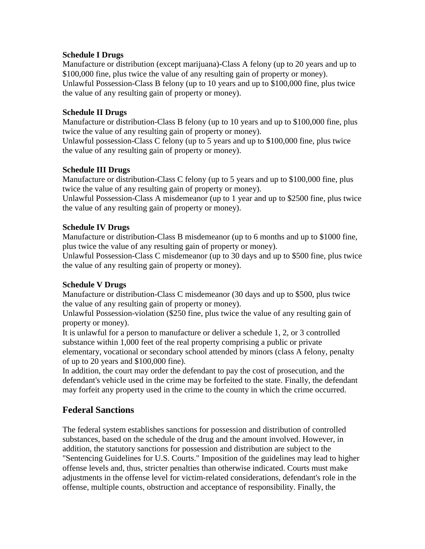#### **Schedule I Drugs**

Manufacture or distribution (except marijuana)-Class A felony (up to 20 years and up to \$100,000 fine, plus twice the value of any resulting gain of property or money). Unlawful Possession-Class B felony (up to 10 years and up to \$100,000 fine, plus twice the value of any resulting gain of property or money).

#### **Schedule II Drugs**

Manufacture or distribution-Class B felony (up to 10 years and up to \$100,000 fine, plus twice the value of any resulting gain of property or money).

Unlawful possession-Class C felony (up to 5 years and up to \$100,000 fine, plus twice the value of any resulting gain of property or money).

#### **Schedule III Drugs**

Manufacture or distribution-Class C felony (up to 5 years and up to \$100,000 fine, plus twice the value of any resulting gain of property or money).

Unlawful Possession-Class A misdemeanor (up to 1 year and up to \$2500 fine, plus twice the value of any resulting gain of property or money).

#### **Schedule IV Drugs**

Manufacture or distribution-Class B misdemeanor (up to 6 months and up to \$1000 fine, plus twice the value of any resulting gain of property or money).

Unlawful Possession-Class C misdemeanor (up to 30 days and up to \$500 fine, plus twice the value of any resulting gain of property or money).

#### **Schedule V Drugs**

Manufacture or distribution-Class C misdemeanor (30 days and up to \$500, plus twice the value of any resulting gain of property or money).

Unlawful Possession-violation (\$250 fine, plus twice the value of any resulting gain of property or money).

It is unlawful for a person to manufacture or deliver a schedule 1, 2, or 3 controlled substance within 1,000 feet of the real property comprising a public or private elementary, vocational or secondary school attended by minors (class A felony, penalty of up to 20 years and \$100,000 fine).

In addition, the court may order the defendant to pay the cost of prosecution, and the defendant's vehicle used in the crime may be forfeited to the state. Finally, the defendant may forfeit any property used in the crime to the county in which the crime occurred.

### **Federal Sanctions**

The federal system establishes sanctions for possession and distribution of controlled substances, based on the schedule of the drug and the amount involved. However, in addition, the statutory sanctions for possession and distribution are subject to the "Sentencing Guidelines for U.S. Courts." Imposition of the guidelines may lead to higher offense levels and, thus, stricter penalties than otherwise indicated. Courts must make adjustments in the offense level for victim-related considerations, defendant's role in the offense, multiple counts, obstruction and acceptance of responsibility. Finally, the